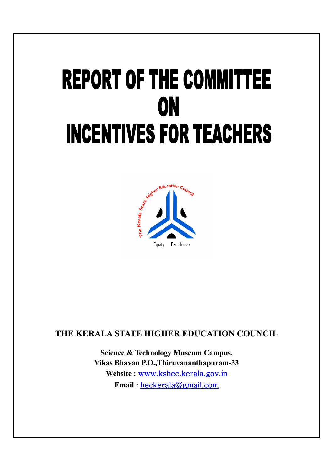# **REPORT OF THE COMMITTEE** ON **INCENTIVES FOR TEACHERS**



## **THE KERALA STATE HIGHER EDUCATION COUNCIL**

**Science & Technology Museum Campus, Vikas Bhavan P.O.,Thiruvananthapuram P.O.,Thiruvananthapuram-33 33Website :**  www.kshec.kerala.gov.in **Email :**  heckerala@gmail.com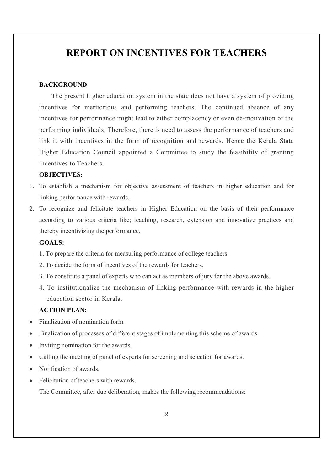# **REPORT ON INCENTIVES FOR TEACHERS**

#### **BACKGROUND**

The present higher education system in the state does not have a system of providing incentives for meritorious and performing teachers. The continued absence of any incentives for performance might lead to either complacency or even de-motivation of the performing individuals. Therefore, there is need to assess the performance of teachers and link it with incentives in the form of recognition and rewards. Hence the Kerala State Higher Education Council appointed a Committee to study the feasibility of granting incentives to Teachers.

#### **OBJECTIVES:**

- 1. To establish a mechanism for objective assessment of teachers in higher education and for linking performance with rewards.
- 2. To recognize and felicitate teachers in Higher Education on the basis of their performance according to various criteria like; teaching, research, extension and innovative practices and thereby incentivizing the performance.

#### **GOALS:**

- 1. To prepare the criteria for measuring performance of college teachers.
- 2. To decide the form of incentives of the rewards for teachers.
- 3. To constitute a panel of experts who can act as members of jury for the above awards.
- 4. To institutionalize the mechanism of linking performance with rewards in the higher education sector in Kerala.

### **ACTION PLAN:**

- Finalization of nomination form.
- Finalization of processes of different stages of implementing this scheme of awards.
- Inviting nomination for the awards.
- Calling the meeting of panel of experts for screening and selection for awards.
- Notification of awards.
- Felicitation of teachers with rewards. The Committee, after due deliberation, makes the following recommendations: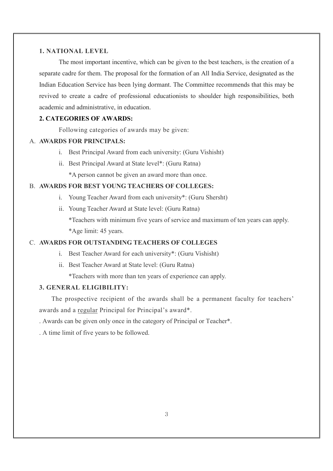#### **1. NATIONAL LEVEL**

The most important incentive, which can be given to the best teachers, is the creation of a separate cadre for them. The proposal for the formation of an All India Service, designated as the Indian Education Service has been lying dormant. The Committee recommends that this may be revived to create a cadre of professional educationists to shoulder high responsibilities, both academic and administrative, in education.

#### **2. CATEGORIES OF AWARDS:**

Following categories of awards may be given:

#### A. **AWARDS FOR PRINCIPALS:**

- i. Best Principal Award from each university: (Guru Vishisht)
- ii. Best Principal Award at State level\*: (Guru Ratna)

\*A person cannot be given an award more than once.

#### B. **AWARDS FOR BEST YOUNG TEACHERS OF COLLEGES:**

- i. Young Teacher Award from each university\*: (Guru Shersht)
- ii. Young Teacher Award at State level: (Guru Ratna)

\*Teachers with minimum five years of service and maximum of ten years can apply. \*Age limit: 45 years.

#### C. **AWARDS FOR OUTSTANDING TEACHERS OF COLLEGES**

- i. Best Teacher Award for each university\*: (Guru Vishisht)
- ii. Best Teacher Award at State level: (Guru Ratna)

\*Teachers with more than ten years of experience can apply.

#### **3. GENERAL ELIGIBILITY:**

The prospective recipient of the awards shall be a permanent faculty for teachers' awards and a regular Principal for Principal's award\*.

. Awards can be given only once in the category of Principal or Teacher\*.

. A time limit of five years to be followed.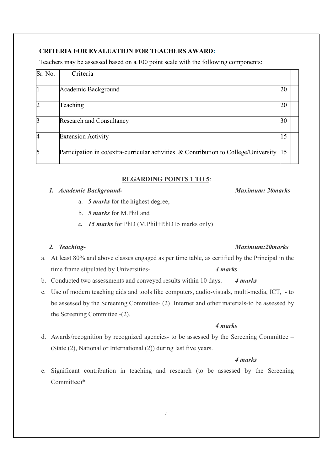#### **CRITERIA FOR EVALUATION FOR TEACHERS AWARD:**

Teachers may be assessed based on a 100 point scale with the following components:

| Sr. No.                 | Criteria                                                                                    |    |  |
|-------------------------|---------------------------------------------------------------------------------------------|----|--|
|                         | Academic Background                                                                         | 20 |  |
| $\overline{2}$          | Teaching                                                                                    | 20 |  |
| $\mathbf{\overline{3}}$ | <b>Research and Consultancy</b>                                                             | 30 |  |
| 4                       | <b>Extension Activity</b>                                                                   | 15 |  |
| $\overline{5}$          | Participation in co/extra-curricular activities $\&$ Contribution to College/University  15 |    |  |

#### **REGARDING POINTS 1 TO 5**:

#### *1. Academic Background- Maximum: 20marks*

- a. *5 marks* for the highest degree,
- b. *5 marks* for M.Phil and
- *c. 15 marks* for PhD (M.Phil+P.hD15 marks only)

#### *2. Teaching- Maximum:20marks*

- a. At least 80% and above classes engaged as per time table, as certified by the Principal in the time frame stipulated by Universities- *4 marks*
- b. Conducted two assessments and conveyed results within 10 days. *4 marks*
- c. Use of modern teaching aids and tools like computers, audio-visuals, multi-media, ICT, to be assessed by the Screening Committee- (2) Internet and other materials-to be assessed by the Screening Committee -(2).

#### *4 marks*

d. Awards/recognition by recognized agencies- to be assessed by the Screening Committee – (State (2), National or International (2)) during last five years.

#### *4 marks*

e. Significant contribution in teaching and research (to be assessed by the Screening Committee)\*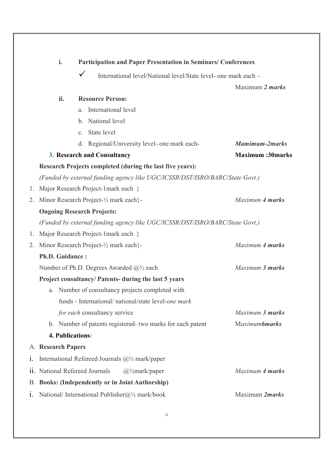|    | i.                      | <b>Participation and Paper Presentation in Seminars/ Conferences</b>            |                        |
|----|-------------------------|---------------------------------------------------------------------------------|------------------------|
|    |                         | $\checkmark$<br>International level/National level/State level- one mark each - |                        |
|    |                         |                                                                                 | Maximum 2 <i>marks</i> |
|    | ii.                     | <b>Resource Person:</b>                                                         |                        |
|    |                         | International level<br>a.                                                       |                        |
|    |                         | National level<br>$b_{\cdot}$                                                   |                        |
|    |                         | State level<br>C <sub>1</sub>                                                   |                        |
|    |                         | Regional/University level- one mark each-<br>d.                                 | <b>Mamimum-2marks</b>  |
|    |                         | 3. Research and Consultancy                                                     | <b>Maximum:30marks</b> |
|    |                         | Research Projects completed (during the last five years):                       |                        |
|    |                         | (Funded by external funding agency like UGC/ICSSR/DST/ISRO/BARC/State Govt.)    |                        |
| 1. |                         | Major Research Project-1mark each }                                             |                        |
| 2. |                         | Minor Research Project-1/2 mark each}-                                          | Maximum 4 marks        |
|    |                         | <b>Ongoing Research Projects:</b>                                               |                        |
|    |                         | (Funded by external funding agency like UGC/ICSSR/DST/ISRO/BARC/State Govt.)    |                        |
| 1. |                         | Major Research Project-1mark each }                                             |                        |
| 2. |                         | Minor Research Project-1/2 mark each}-                                          | Maximum 4 marks        |
|    | Ph.D. Guidance:         |                                                                                 |                        |
|    |                         | Number of Ph.D. Degrees Awarded $\mathcal{Q}_2$ each                            | Maximum 3 marks        |
|    |                         | Project consultancy/ Patents- during the last 5 years                           |                        |
|    | a.                      | Number of consultancy projects completed with                                   |                        |
|    |                         | funds - International/ national/state level-one mark                            |                        |
|    |                         | for each consultancy service                                                    | Maximum 3 marks        |
|    |                         | b. Number of patents registered-two marks for each patent                       | Maximum6marks          |
|    | <b>4. Publications:</b> |                                                                                 |                        |
|    | A. Research Papers      |                                                                                 |                        |
| i. |                         | International Refereed Journals $\mathcal{Q}_2$ mark/paper                      |                        |
|    |                         | ii. National Refereed Journals<br>$(a)/\text{maxk}/\text{paper}$                | Maximum 4 marks        |
|    |                         | <b>B. Books: (Independently or in Joint Authorship)</b>                         |                        |
| 1. |                         | National/International Publisher@ $\frac{1}{2}$ mark/book                       | Maximum 2marks         |
|    |                         |                                                                                 |                        |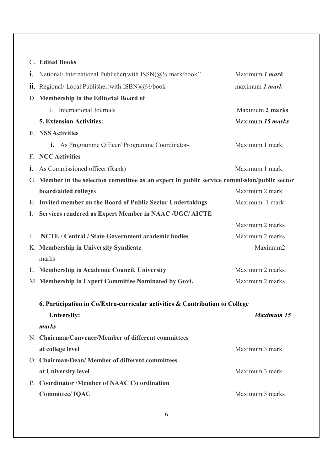## C. **Edited Books**

|                | 1. National/International Publisher(with ISSN) $@{1}$ mark/book'                             | Maximum 1 mark          |  |
|----------------|----------------------------------------------------------------------------------------------|-------------------------|--|
|                | ii. Regional/Local Publisher(with ISBN) $\omega/2$ /book                                     | maximum 1 mark          |  |
|                | D. Membership in the Editorial Board of                                                      |                         |  |
|                | <b>International Journals</b><br>$\mathbf{i}$ .                                              | Maximum 2 marks         |  |
|                | <b>5. Extension Activities:</b>                                                              | Maximum 15 <i>marks</i> |  |
|                | E. NSS Activities                                                                            |                         |  |
|                | 1. As Programme Officer/ Programme Coordinator-                                              | Maximum 1 mark          |  |
|                | F. NCC Activities                                                                            |                         |  |
| 1.             | As Commissioned officer (Rank)                                                               | Maximum 1 mark          |  |
|                | G. Member in the selection committee as an expert in public service commission/public sector |                         |  |
|                | board/aided colleges                                                                         | Maximum 2 mark          |  |
|                | H. Invited member on the Board of Public Sector Undertakings                                 | Maximum 1 mark          |  |
| $\mathbf{I}$ . | Services rendered as Expert Member in NAAC /UGC/ AICTE                                       |                         |  |
|                |                                                                                              | Maximum 2 marks         |  |
| J.             | NCTE / Central / State Government academic bodies                                            | Maximum 2 marks         |  |
|                | K. Membership in University Syndicate                                                        | Maximum2                |  |
|                | marks                                                                                        |                         |  |
|                | L. Membership in Academic Council, University                                                | Maximum 2 marks         |  |
|                | M. Membership in Expert Committee Nominated by Govt.                                         | Maximum 2 marks         |  |
|                | 6. Participation in Co/Extra-curricular activities & Contribution to College                 |                         |  |
|                | University:                                                                                  | <b>Maximum 15</b>       |  |
|                | marks                                                                                        |                         |  |
|                | N. Chairman/Convener/Member of different committees                                          |                         |  |
|                | at college level                                                                             | Maximum 3 mark          |  |
|                | O. Chairman/Dean/Member of different committees                                              |                         |  |
|                | at University level                                                                          | Maximum 3 mark          |  |
|                | P. Coordinator /Member of NAAC Co ordination                                                 |                         |  |
|                | <b>Committee/IQAC</b>                                                                        | Maximum 3 marks         |  |
|                |                                                                                              |                         |  |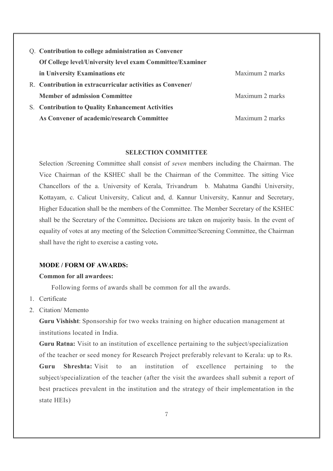| Q. Contribution to college administration as Convener      |                 |
|------------------------------------------------------------|-----------------|
| Of College level/University level exam Committee/Examiner  |                 |
| in University Examinations etc                             | Maximum 2 marks |
| R. Contribution in extracurricular activities as Convener/ |                 |
| <b>Member of admission Committee</b>                       | Maximum 2 marks |
| <b>S. Contribution to Quality Enhancement Activities</b>   |                 |
| As Convener of academic/research Committee                 | Maximum 2 marks |

#### **SELECTION COMMITTEE**

Selection /Screening Committee shall consist of *seven* members including the Chairman. The Vice Chairman of the KSHEC shall be the Chairman of the Committee. The sitting Vice Chancellors of the a. University of Kerala, Trivandrum b. Mahatma Gandhi University, Kottayam, c. Calicut University, Calicut and, d. Kannur University, Kannur and Secretary, Higher Education shall be the members of the Committee. The Member Secretary of the KSHEC shall be the Secretary of the Committee**.** Decisions are taken on majority basis. In the event of equality of votes at any meeting of the Selection Committee/Screening Committee, the Chairman shall have the right to exercise a casting vote**.** 

#### **MODE / FORM OF AWARDS:**

#### **Common for all awardees:**

Following forms of awards shall be common for all the awards.

- 1. Certificate
- 2. Citation/ Memento

**Guru Vishisht**: Sponsorship for two weeks training on higher education management at institutions located in India.

**Guru Ratna:** Visit to an institution of excellence pertaining to the subject/specialization of the teacher or seed money for Research Project preferably relevant to Kerala: up to Rs.

**Guru Shreshta:** Visit to an institution of excellence pertaining to the subject/specialization of the teacher (after the visit the awardees shall submit a report of best practices prevalent in the institution and the strategy of their implementation in the state HEIs)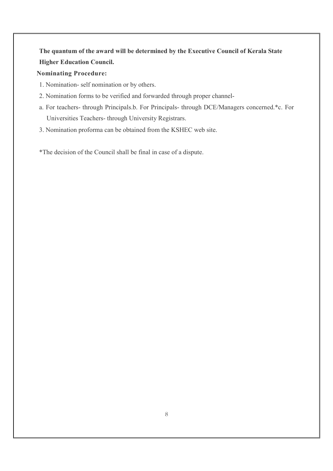**The quantum of the award will be determined by the Executive Council of Kerala State Higher Education Council.** 

#### **Nominating Procedure:**

- 1. Nomination- self nomination or by others.
- 2. Nomination forms to be verified and forwarded through proper channel-
- a. For teachers- through Principals.b. For Principals- through DCE/Managers concerned.\*c. For Universities Teachers- through University Registrars.
- 3. Nomination proforma can be obtained from the KSHEC web site.

\*The decision of the Council shall be final in case of a dispute.